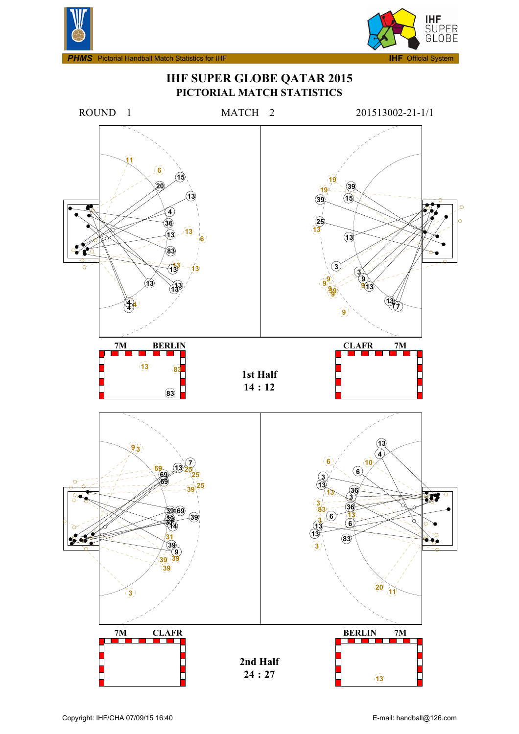



**IHF SUPER GLOBE QATAR 2015 PICTORIAL MATCH STATISTICS**

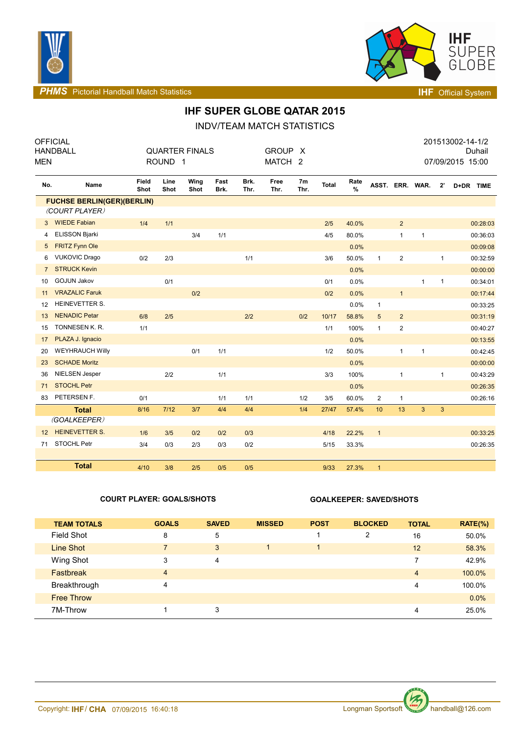



**PHMS** Pictorial Handball Match Statistics **INF** Official System

# **IHF SUPER GLOBE QATAR 2015**

INDV/TEAM MATCH STATISTICS

| <b>MEN</b>        | <b>OFFICIAL</b><br><b>HANDBALL</b> |               | ROUND <sub>1</sub> | <b>QUARTER FINALS</b> |              |              | <b>GROUP</b><br>MATCH <sub>2</sub> | $\mathsf{X}$ |       |              |                 |                |              |              | 201513002-14-1/2<br>07/09/2015 15:00 | Duhail   |
|-------------------|------------------------------------|---------------|--------------------|-----------------------|--------------|--------------|------------------------------------|--------------|-------|--------------|-----------------|----------------|--------------|--------------|--------------------------------------|----------|
| No.               | Name                               | Field<br>Shot | Line<br>Shot       | Wing<br>Shot          | Fast<br>Brk. | Brk.<br>Thr. | Free<br>Thr.                       | 7m<br>Thr.   | Total | Rate<br>$\%$ | ASST. ERR. WAR. |                |              | $2^{\circ}$  | D+DR TIME                            |          |
|                   | <b>FUCHSE BERLIN(GER)(BERLIN)</b>  |               |                    |                       |              |              |                                    |              |       |              |                 |                |              |              |                                      |          |
|                   | (COURT PLAYER)                     |               |                    |                       |              |              |                                    |              |       |              |                 |                |              |              |                                      |          |
| 3 <sup>1</sup>    | <b>WIEDE Fabian</b>                | 1/4           | 1/1                |                       |              |              |                                    |              | 2/5   | 40.0%        |                 | $\overline{2}$ |              |              |                                      | 00:28:03 |
| 4                 | <b>ELISSON Bjarki</b>              |               |                    | 3/4                   | 1/1          |              |                                    |              | 4/5   | 80.0%        |                 | $\mathbf{1}$   | $\mathbf{1}$ |              |                                      | 00:36:03 |
| 5                 | <b>FRITZ Fynn Ole</b>              |               |                    |                       |              |              |                                    |              |       | 0.0%         |                 |                |              |              |                                      | 00:09:08 |
| 6                 | <b>VUKOVIC Drago</b>               | 0/2           | 2/3                |                       |              | 1/1          |                                    |              | 3/6   | 50.0%        | $\mathbf{1}$    | $\mathbf{2}$   |              | $\mathbf{1}$ |                                      | 00:32:59 |
| $\overline{7}$    | <b>STRUCK Kevin</b>                |               |                    |                       |              |              |                                    |              |       | 0.0%         |                 |                |              |              |                                      | 00:00:00 |
| 10                | <b>GOJUN Jakov</b>                 |               | 0/1                |                       |              |              |                                    |              | 0/1   | 0.0%         |                 |                | $\mathbf{1}$ | $\mathbf{1}$ |                                      | 00:34:01 |
| 11                | <b>VRAZALIC Faruk</b>              |               |                    | 0/2                   |              |              |                                    |              | 0/2   | 0.0%         |                 | $\mathbf{1}$   |              |              |                                      | 00:17:44 |
| 12                | HEINEVETTER S.                     |               |                    |                       |              |              |                                    |              |       | 0.0%         | $\mathbf{1}$    |                |              |              |                                      | 00:33:25 |
| 13                | <b>NENADIC Petar</b>               | 6/8           | 2/5                |                       |              | 2/2          |                                    | 0/2          | 10/17 | 58.8%        | 5               | $\overline{2}$ |              |              |                                      | 00:31:19 |
| 15                | TONNESEN K. R.                     | 1/1           |                    |                       |              |              |                                    |              | 1/1   | 100%         | $\mathbf{1}$    | $\mathbf{2}$   |              |              |                                      | 00:40:27 |
| 17                | PLAZA J. Ignacio                   |               |                    |                       |              |              |                                    |              |       | 0.0%         |                 |                |              |              |                                      | 00:13:55 |
| 20                | <b>WEYHRAUCH Willy</b>             |               |                    | 0/1                   | 1/1          |              |                                    |              | 1/2   | 50.0%        |                 | $\mathbf{1}$   | $\mathbf{1}$ |              |                                      | 00:42:45 |
| 23                | <b>SCHADE Moritz</b>               |               |                    |                       |              |              |                                    |              |       | 0.0%         |                 |                |              |              |                                      | 00:00:00 |
| 36                | NIELSEN Jesper                     |               | 2/2                |                       | 1/1          |              |                                    |              | 3/3   | 100%         |                 | $\mathbf{1}$   |              | $\mathbf{1}$ |                                      | 00:43:29 |
| 71                | <b>STOCHL Petr</b>                 |               |                    |                       |              |              |                                    |              |       | 0.0%         |                 |                |              |              |                                      | 00:26:35 |
| 83                | PETERSEN F.                        | 0/1           |                    |                       | 1/1          | 1/1          |                                    | 1/2          | 3/5   | 60.0%        | $\overline{2}$  | $\mathbf{1}$   |              |              |                                      | 00:26:16 |
|                   | <b>Total</b>                       | 8/16          | 7/12               | 3/7                   | 4/4          | 4/4          |                                    | 1/4          | 27/47 | 57.4%        | 10              | 13             | 3            | 3            |                                      |          |
|                   | (GOALKEEPER)                       |               |                    |                       |              |              |                                    |              |       |              |                 |                |              |              |                                      |          |
| $12 \overline{ }$ | <b>HEINEVETTER S.</b>              | 1/6           | 3/5                | 0/2                   | 0/2          | 0/3          |                                    |              | 4/18  | 22.2%        | $\mathbf{1}$    |                |              |              |                                      | 00:33:25 |
| 71                | STOCHL Petr                        | 3/4           | 0/3                | 2/3                   | 0/3          | 0/2          |                                    |              | 5/15  | 33.3%        |                 |                |              |              |                                      | 00:26:35 |
|                   |                                    |               |                    |                       |              |              |                                    |              |       |              |                 |                |              |              |                                      |          |
|                   | <b>Total</b>                       | 4/10          | 3/8                | 2/5                   | 0/5          | 0/5          |                                    |              | 9/33  | 27.3%        | $\mathbf{1}$    |                |              |              |                                      |          |

### **COURT PLAYER: GOALS/SHOTS GOALKEEPER: SAVED/SHOTS**

| <b>TEAM TOTALS</b> | <b>GOALS</b>   | <b>SAVED</b> | <b>MISSED</b> | <b>POST</b> | <b>BLOCKED</b> | <b>TOTAL</b>   | $RATE(\%)$ |
|--------------------|----------------|--------------|---------------|-------------|----------------|----------------|------------|
| Field Shot         | 8              | 5            |               |             | 2              | 16             | 50.0%      |
| <b>Line Shot</b>   | $\overline{7}$ | 3            |               |             |                | 12             | 58.3%      |
| Wing Shot          | 3              | 4            |               |             |                | 7              | 42.9%      |
| <b>Fastbreak</b>   | $\overline{4}$ |              |               |             |                | $\overline{4}$ | 100.0%     |
| Breakthrough       | 4              |              |               |             |                | 4              | 100.0%     |
| <b>Free Throw</b>  |                |              |               |             |                |                | 0.0%       |
| 7M-Throw           |                | 3            |               |             |                | 4              | 25.0%      |

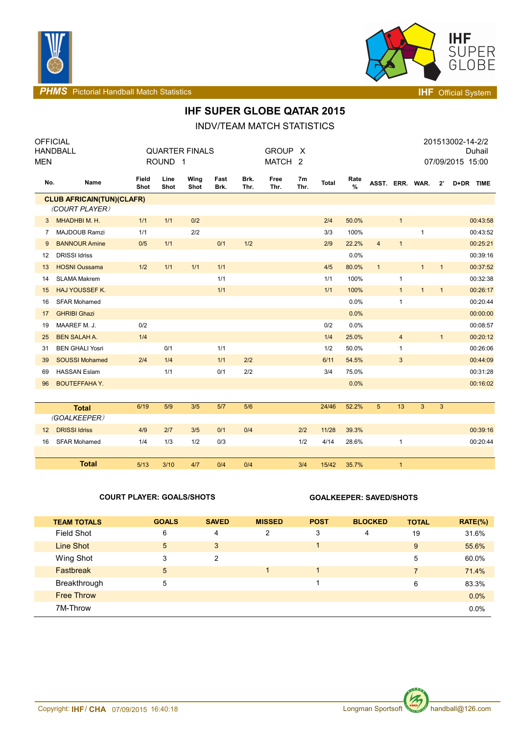



**PHMS** Pictorial Handball Match Statistics **Intervalse and Contract Contract Contract Contract Contract Contract Contract Contract Contract Contract Contract Contract Contract Contract Contract Contract Contract Contract C** 

# **IHF SUPER GLOBE QATAR 2015**

INDV/TEAM MATCH STATISTICS

| <b>OFFICIAL</b>   | <b>HANDBALL</b>                  |               |                    | <b>QUARTER FINALS</b> |              |              | <b>GROUP</b><br>- X |                        |       |           |                 |                |              | 201513002-14-2/2<br>Duhail |                  |
|-------------------|----------------------------------|---------------|--------------------|-----------------------|--------------|--------------|---------------------|------------------------|-------|-----------|-----------------|----------------|--------------|----------------------------|------------------|
| <b>MEN</b>        |                                  |               | ROUND <sub>1</sub> |                       |              |              | MATCH <sub>2</sub>  |                        |       |           |                 |                |              |                            | 07/09/2015 15:00 |
|                   |                                  |               |                    |                       |              |              |                     |                        |       |           |                 |                |              |                            |                  |
| No.               | Name                             | Field<br>Shot | Line<br>Shot       | Wing<br>Shot          | Fast<br>Brk. | Brk.<br>Thr. | Free<br>Thr.        | 7 <sub>m</sub><br>Thr. | Total | Rate<br>% | ASST. ERR. WAR. |                |              | $2^{\prime}$               | D+DR TIME        |
|                   | <b>CLUB AFRICAIN(TUN)(CLAFR)</b> |               |                    |                       |              |              |                     |                        |       |           |                 |                |              |                            |                  |
|                   | (COURT PLAYER)                   |               |                    |                       |              |              |                     |                        |       |           |                 |                |              |                            |                  |
| 3                 | MHADHBI M. H.                    | 1/1           | 1/1                | 0/2                   |              |              |                     |                        | 2/4   | 50.0%     |                 | $\mathbf{1}$   |              |                            | 00:43:58         |
| 7                 | MAJDOUB Ramzi                    | 1/1           |                    | 2/2                   |              |              |                     |                        | 3/3   | 100%      |                 |                | $\mathbf{1}$ |                            | 00:43:52         |
| 9                 | <b>BANNOUR Amine</b>             | 0/5           | 1/1                |                       | 0/1          | 1/2          |                     |                        | 2/9   | 22.2%     | $\overline{4}$  | $\mathbf{1}$   |              |                            | 00:25:21         |
| 12                | <b>DRISSI Idriss</b>             |               |                    |                       |              |              |                     |                        |       | 0.0%      |                 |                |              |                            | 00:39:16         |
| 13                | <b>HOSNI Oussama</b>             | 1/2           | 1/1                | 1/1                   | 1/1          |              |                     |                        | 4/5   | 80.0%     | $\mathbf{1}$    |                | $\mathbf{1}$ | $\mathbf{1}$               | 00:37:52         |
| 14                | <b>SLAMA Makrem</b>              |               |                    |                       | 1/1          |              |                     |                        | 1/1   | 100%      |                 | $\mathbf{1}$   |              |                            | 00:32:38         |
| 15                | <b>HAJ YOUSSEF K.</b>            |               |                    |                       | 1/1          |              |                     |                        | 1/1   | 100%      |                 | $\mathbf{1}$   | 1            | $\mathbf{1}$               | 00:26:17         |
| 16                | <b>SFAR Mohamed</b>              |               |                    |                       |              |              |                     |                        |       | 0.0%      |                 | $\mathbf{1}$   |              |                            | 00:20:44         |
| 17                | <b>GHRIBI Ghazi</b>              |               |                    |                       |              |              |                     |                        |       | 0.0%      |                 |                |              |                            | 00:00:00         |
| 19                | MAAREF M. J.                     | 0/2           |                    |                       |              |              |                     |                        | 0/2   | 0.0%      |                 |                |              |                            | 00:08:57         |
| 25                | <b>BEN SALAH A.</b>              | 1/4           |                    |                       |              |              |                     |                        | 1/4   | 25.0%     |                 | $\overline{4}$ |              | $\mathbf{1}$               | 00:20:12         |
| 31                | <b>BEN GHALI Yosri</b>           |               | 0/1                |                       | 1/1          |              |                     |                        | 1/2   | 50.0%     |                 | $\mathbf{1}$   |              |                            | 00:26:06         |
| 39                | <b>SOUSSI Mohamed</b>            | 2/4           | 1/4                |                       | 1/1          | 2/2          |                     |                        | 6/11  | 54.5%     |                 | $\mathbf{3}$   |              |                            | 00:44:09         |
| 69                | <b>HASSAN Eslam</b>              |               | 1/1                |                       | 0/1          | 2/2          |                     |                        | 3/4   | 75.0%     |                 |                |              |                            | 00:31:28         |
| 96                | <b>BOUTEFFAHAY.</b>              |               |                    |                       |              |              |                     |                        |       | 0.0%      |                 |                |              |                            | 00:16:02         |
|                   |                                  |               |                    |                       |              |              |                     |                        |       |           |                 |                |              |                            |                  |
|                   | <b>Total</b>                     | 6/19          | 5/9                | 3/5                   | 5/7          | 5/6          |                     |                        | 24/46 | 52.2%     | $5\phantom{1}$  | 13             | 3            | $\mathbf{3}$               |                  |
|                   | (GOALKEEPER)                     |               |                    |                       |              |              |                     |                        |       |           |                 |                |              |                            |                  |
| $12 \overline{ }$ | <b>DRISSI Idriss</b>             | 4/9           | 2/7                | 3/5                   | 0/1          | 0/4          |                     | 2/2                    | 11/28 | 39.3%     |                 |                |              |                            | 00:39:16         |
| 16                | <b>SFAR Mohamed</b>              | 1/4           | 1/3                | 1/2                   | 0/3          |              |                     | 1/2                    | 4/14  | 28.6%     |                 | $\mathbf{1}$   |              |                            | 00:20:44         |
|                   |                                  |               |                    |                       |              |              |                     |                        |       |           |                 |                |              |                            |                  |
|                   | <b>Total</b>                     | 5/13          | 3/10               | 4/7                   | 0/4          | 0/4          |                     | 3/4                    | 15/42 | 35.7%     |                 | $\mathbf{1}$   |              |                            |                  |

### **COURT PLAYER: GOALS/SHOTS GOALKEEPER: SAVED/SHOTS**

| <b>TEAM TOTALS</b> | <b>GOALS</b> | <b>SAVED</b> | <b>MISSED</b> | <b>POST</b> | <b>BLOCKED</b> | <b>TOTAL</b>   | $RATE(\%)$ |
|--------------------|--------------|--------------|---------------|-------------|----------------|----------------|------------|
| Field Shot         | 6            | 4            | 2             | 3           | 4              | 19             | 31.6%      |
| Line Shot          | 5            | 3            |               | 4           |                | 9              | 55.6%      |
| Wing Shot          | 3            | 2            |               |             |                | 5              | 60.0%      |
| Fastbreak          | 5            |              |               |             |                | $\overline{7}$ | 71.4%      |
| Breakthrough       | 5            |              |               |             |                | 6              | 83.3%      |
| <b>Free Throw</b>  |              |              |               |             |                |                | 0.0%       |
| 7M-Throw           |              |              |               |             |                |                | 0.0%       |